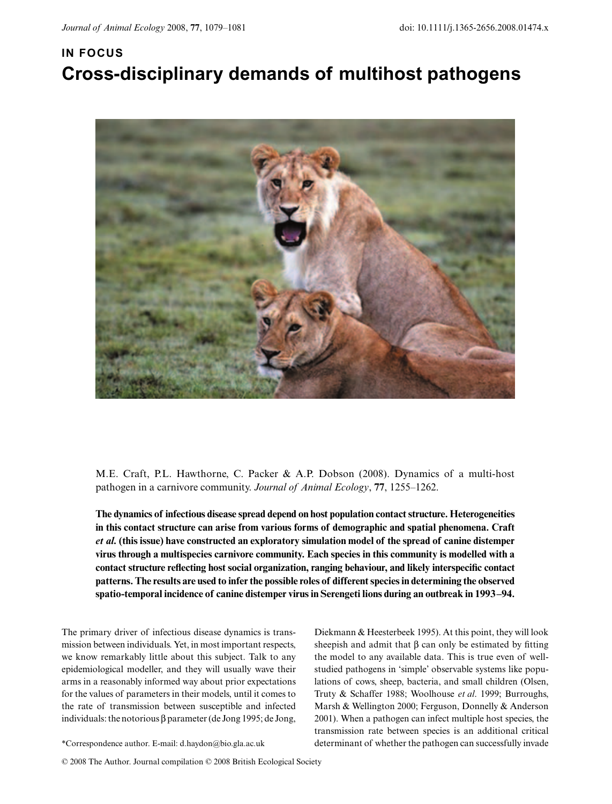## **IN FOCUS Cross-disciplinary demands of multihost pathogens**



M.E. Craft, P.L. Hawthorne, C. Packer & A.P. Dobson (2008). Dynamics of a multi-host pathogen in a carnivore community. *Journal of Animal Ecology*, **77**, 1255–1262.

**The dynamics of infectious disease spread depend on host population contact structure. Heterogeneities in this contact structure can arise from various forms of demographic and spatial phenomena. Craft** *et al.* **(this issue) have constructed an exploratory simulation model of the spread of canine distemper virus through a multispecies carnivore community. Each species in this community is modelled with a contact structure reflecting host social organization, ranging behaviour, and likely interspecific contact patterns. The results are used to infer the possible roles of different species in determining the observed spatio-temporal incidence of canine distemper virus in Serengeti lions during an outbreak in 1993–94.**

The primary driver of infectious disease dynamics is transmission between individuals. Yet, in most important respects, we know remarkably little about this subject. Talk to any epidemiological modeller, and they will usually wave their arms in a reasonably informed way about prior expectations for the values of parameters in their models, until it comes to the rate of transmission between susceptible and infected individuals: the notorious β parameter (de Jong 1995; de Jong,

Diekmann & Heesterbeek 1995). At this point, they will look sheepish and admit that  $\beta$  can only be estimated by fitting the model to any available data. This is true even of wellstudied pathogens in 'simple' observable systems like populations of cows, sheep, bacteria, and small children (Olsen, Truty & Schaffer 1988; Woolhouse *et al*. 1999; Burroughs, Marsh & Wellington 2000; Ferguson, Donnelly & Anderson 2001). When a pathogen can infect multiple host species, the transmission rate between species is an additional critical \*Correspondence author. E-mail: d.haydon@bio.gla.ac.uk determinant of whether the pathogen can successfully invade

© 2008 The Author. Journal compilation © 2008 British Ecological Society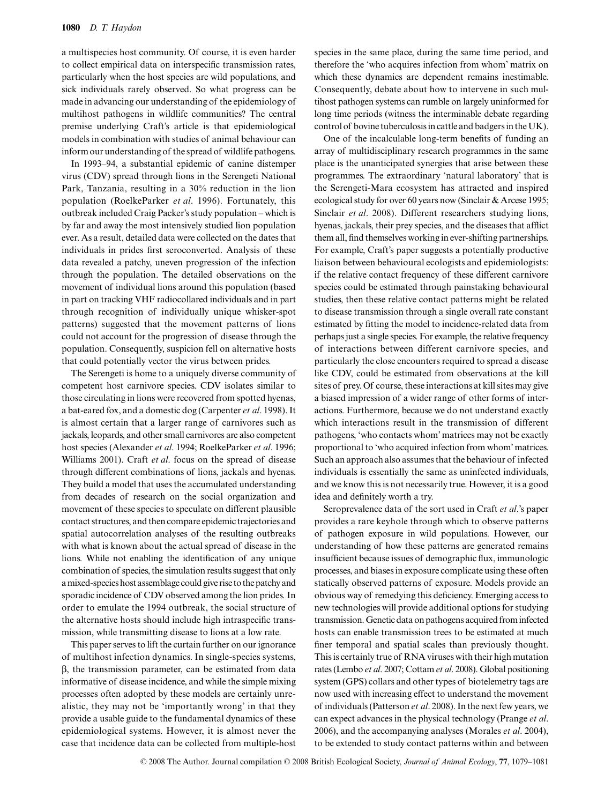a multispecies host community. Of course, it is even harder to collect empirical data on interspecific transmission rates, particularly when the host species are wild populations, and sick individuals rarely observed. So what progress can be made in advancing our understanding of the epidemiology of multihost pathogens in wildlife communities? The central premise underlying Craft's article is that epidemiological models in combination with studies of animal behaviour can inform our understanding of the spread of wildlife pathogens.

In 1993–94, a substantial epidemic of canine distemper virus (CDV) spread through lions in the Serengeti National Park, Tanzania, resulting in a 30% reduction in the lion population (RoelkeParker *et al*. 1996). Fortunately, this outbreak included Craig Packer's study population – which is by far and away the most intensively studied lion population ever. As a result, detailed data were collected on the dates that individuals in prides first seroconverted. Analysis of these data revealed a patchy, uneven progression of the infection through the population. The detailed observations on the movement of individual lions around this population (based in part on tracking VHF radiocollared individuals and in part through recognition of individually unique whisker-spot patterns) suggested that the movement patterns of lions could not account for the progression of disease through the population. Consequently, suspicion fell on alternative hosts that could potentially vector the virus between prides.

The Serengeti is home to a uniquely diverse community of competent host carnivore species. CDV isolates similar to those circulating in lions were recovered from spotted hyenas, a bat-eared fox, and a domestic dog (Carpenter *et al*. 1998). It is almost certain that a larger range of carnivores such as jackals, leopards, and other small carnivores are also competent host species (Alexander *et al*. 1994; RoelkeParker *et al*. 1996; Williams 2001). Craft *et al*. focus on the spread of disease through different combinations of lions, jackals and hyenas. They build a model that uses the accumulated understanding from decades of research on the social organization and movement of these species to speculate on different plausible contact structures, and then compare epidemic trajectories and spatial autocorrelation analyses of the resulting outbreaks with what is known about the actual spread of disease in the lions. While not enabling the identification of any unique combination of species, the simulation results suggest that only a mixed-species host assemblage could give rise to the patchy and sporadic incidence of CDV observed among the lion prides. In order to emulate the 1994 outbreak, the social structure of the alternative hosts should include high intraspecific transmission, while transmitting disease to lions at a low rate.

This paper serves to lift the curtain further on our ignorance of multihost infection dynamics. In single-species systems, β, the transmission parameter, can be estimated from data informative of disease incidence, and while the simple mixing processes often adopted by these models are certainly unrealistic, they may not be 'importantly wrong' in that they provide a usable guide to the fundamental dynamics of these epidemiological systems. However, it is almost never the case that incidence data can be collected from multiple-host

species in the same place, during the same time period, and therefore the 'who acquires infection from whom' matrix on which these dynamics are dependent remains inestimable. Consequently, debate about how to intervene in such multihost pathogen systems can rumble on largely uninformed for long time periods (witness the interminable debate regarding control of bovine tuberculosis in cattle and badgers in the UK).

One of the incalculable long-term benefits of funding an array of multidisciplinary research programmes in the same place is the unanticipated synergies that arise between these programmes. The extraordinary 'natural laboratory' that is the Serengeti-Mara ecosystem has attracted and inspired ecological study for over 60 years now (Sinclair & Arcese 1995; Sinclair *et al*. 2008). Different researchers studying lions, hyenas, jackals, their prey species, and the diseases that afflict them all, find themselves working in ever-shifting partnerships. For example, Craft's paper suggests a potentially productive liaison between behavioural ecologists and epidemiologists: if the relative contact frequency of these different carnivore species could be estimated through painstaking behavioural studies, then these relative contact patterns might be related to disease transmission through a single overall rate constant estimated by fitting the model to incidence-related data from perhaps just a single species. For example, the relative frequency of interactions between different carnivore species, and particularly the close encounters required to spread a disease like CDV, could be estimated from observations at the kill sites of prey. Of course, these interactions at kill sites may give a biased impression of a wider range of other forms of interactions. Furthermore, because we do not understand exactly which interactions result in the transmission of different pathogens, 'who contacts whom' matrices may not be exactly proportional to 'who acquired infection from whom' matrices. Such an approach also assumes that the behaviour of infected individuals is essentially the same as uninfected individuals, and we know this is not necessarily true. However, it is a good idea and definitely worth a try.

Seroprevalence data of the sort used in Craft *et al*.'s paper provides a rare keyhole through which to observe patterns of pathogen exposure in wild populations. However, our understanding of how these patterns are generated remains insufficient because issues of demographic flux, immunologic processes, and biases in exposure complicate using these often statically observed patterns of exposure. Models provide an obvious way of remedying this deficiency. Emerging access to new technologies will provide additional options for studying transmission. Genetic data on pathogens acquired from infected hosts can enable transmission trees to be estimated at much finer temporal and spatial scales than previously thought. This is certainly true of RNA viruses with their high mutation rates (Lembo *et al*. 2007; Cottam *et al*. 2008). Global positioning system (GPS) collars and other types of biotelemetry tags are now used with increasing effect to understand the movement of individuals (Patterson *et al*. 2008). In the next few years, we can expect advances in the physical technology (Prange *et al*. 2006), and the accompanying analyses (Morales *et al*. 2004), to be extended to study contact patterns within and between